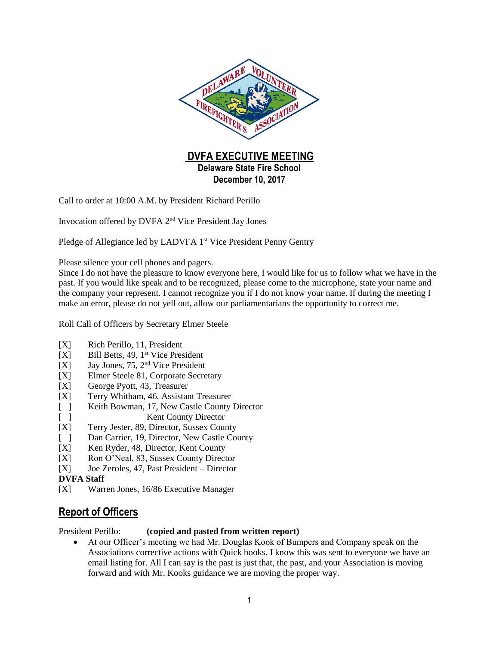

Call to order at 10:00 A.M. by President Richard Perillo

Invocation offered by DVFA 2<sup>nd</sup> Vice President Jay Jones

Pledge of Allegiance led by LADVFA 1<sup>st</sup> Vice President Penny Gentry

Please silence your cell phones and pagers.

Since I do not have the pleasure to know everyone here, I would like for us to follow what we have in the past. If you would like speak and to be recognized, please come to the microphone, state your name and the company your represent. I cannot recognize you if I do not know your name. If during the meeting I make an error, please do not yell out, allow our parliamentarians the opportunity to correct me.

Roll Call of Officers by Secretary Elmer Steele

- [X] Rich Perillo, 11, President
- $[X]$  Bill Betts, 49, 1<sup>st</sup> Vice President
- [X] Jay Jones, 75, 2<sup>nd</sup> Vice President
- [X] Elmer Steele 81, Corporate Secretary
- [X] George Pyott, 43, Treasurer
- [X] Terry Whitham, 46, Assistant Treasurer
- [ ] Keith Bowman, 17, New Castle County Director
- [ ] Kent County Director
- [X] Terry Jester, 89, Director, Sussex County
- [ ] Dan Carrier, 19, Director, New Castle County
- [X] Ken Ryder, 48, Director, Kent County
- [X] Ron O'Neal, 83, Sussex County Director
- [X] Joe Zeroles, 47, Past President Director

#### **DVFA Staff**

[X] Warren Jones, 16/86 Executive Manager

## **Report of Officers**

President Perillo: **(copied and pasted from written report)**

 At our Officer's meeting we had Mr. Douglas Kook of Bumpers and Company speak on the Associations corrective actions with Quick books. I know this was sent to everyone we have an email listing for. All I can say is the past is just that, the past, and your Association is moving forward and with Mr. Kooks guidance we are moving the proper way.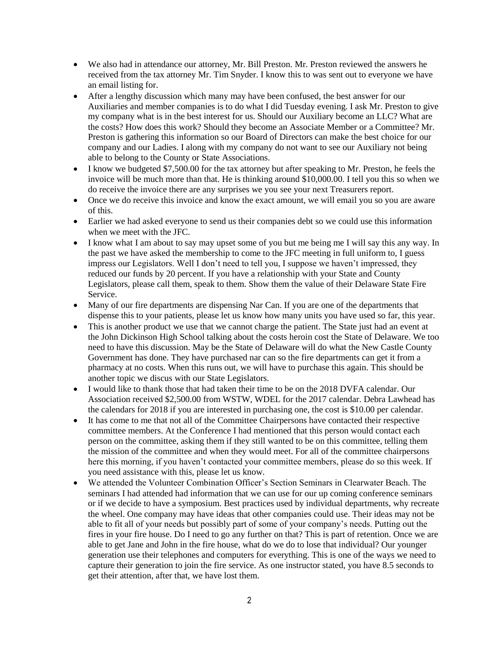- We also had in attendance our attorney, Mr. Bill Preston. Mr. Preston reviewed the answers he received from the tax attorney Mr. Tim Snyder. I know this to was sent out to everyone we have an email listing for.
- After a lengthy discussion which many may have been confused, the best answer for our Auxiliaries and member companies is to do what I did Tuesday evening. I ask Mr. Preston to give my company what is in the best interest for us. Should our Auxiliary become an LLC? What are the costs? How does this work? Should they become an Associate Member or a Committee? Mr. Preston is gathering this information so our Board of Directors can make the best choice for our company and our Ladies. I along with my company do not want to see our Auxiliary not being able to belong to the County or State Associations.
- I know we budgeted \$7,500.00 for the tax attorney but after speaking to Mr. Preston, he feels the invoice will be much more than that. He is thinking around \$10,000.00. I tell you this so when we do receive the invoice there are any surprises we you see your next Treasurers report.
- Once we do receive this invoice and know the exact amount, we will email you so you are aware of this.
- Earlier we had asked everyone to send us their companies debt so we could use this information when we meet with the JFC.
- I know what I am about to say may upset some of you but me being me I will say this any way. In the past we have asked the membership to come to the JFC meeting in full uniform to, I guess impress our Legislators. Well I don't need to tell you, I suppose we haven't impressed, they reduced our funds by 20 percent. If you have a relationship with your State and County Legislators, please call them, speak to them. Show them the value of their Delaware State Fire Service.
- Many of our fire departments are dispensing Nar Can. If you are one of the departments that dispense this to your patients, please let us know how many units you have used so far, this year.
- This is another product we use that we cannot charge the patient. The State just had an event at the John Dickinson High School talking about the costs heroin cost the State of Delaware. We too need to have this discussion. May be the State of Delaware will do what the New Castle County Government has done. They have purchased nar can so the fire departments can get it from a pharmacy at no costs. When this runs out, we will have to purchase this again. This should be another topic we discus with our State Legislators.
- I would like to thank those that had taken their time to be on the 2018 DVFA calendar. Our Association received \$2,500.00 from WSTW, WDEL for the 2017 calendar. Debra Lawhead has the calendars for 2018 if you are interested in purchasing one, the cost is \$10.00 per calendar.
- It has come to me that not all of the Committee Chairpersons have contacted their respective committee members. At the Conference I had mentioned that this person would contact each person on the committee, asking them if they still wanted to be on this committee, telling them the mission of the committee and when they would meet. For all of the committee chairpersons here this morning, if you haven't contacted your committee members, please do so this week. If you need assistance with this, please let us know.
- We attended the Volunteer Combination Officer's Section Seminars in Clearwater Beach. The seminars I had attended had information that we can use for our up coming conference seminars or if we decide to have a symposium. Best practices used by individual departments, why recreate the wheel. One company may have ideas that other companies could use. Their ideas may not be able to fit all of your needs but possibly part of some of your company's needs. Putting out the fires in your fire house. Do I need to go any further on that? This is part of retention. Once we are able to get Jane and John in the fire house, what do we do to lose that individual? Our younger generation use their telephones and computers for everything. This is one of the ways we need to capture their generation to join the fire service. As one instructor stated, you have 8.5 seconds to get their attention, after that, we have lost them.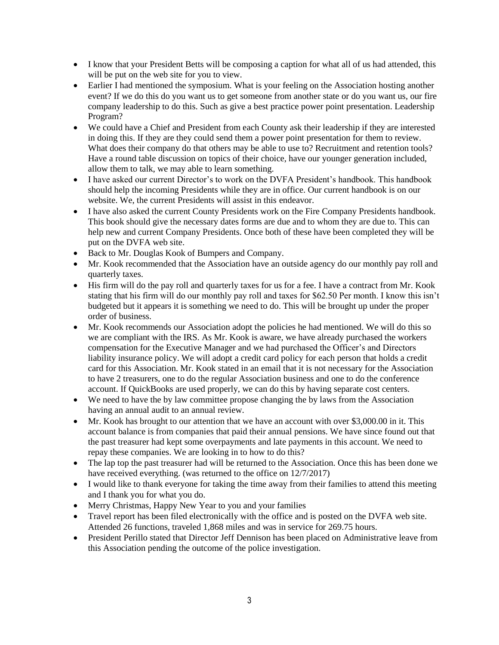- I know that your President Betts will be composing a caption for what all of us had attended, this will be put on the web site for you to view.
- Earlier I had mentioned the symposium. What is your feeling on the Association hosting another event? If we do this do you want us to get someone from another state or do you want us, our fire company leadership to do this. Such as give a best practice power point presentation. Leadership Program?
- We could have a Chief and President from each County ask their leadership if they are interested in doing this. If they are they could send them a power point presentation for them to review. What does their company do that others may be able to use to? Recruitment and retention tools? Have a round table discussion on topics of their choice, have our younger generation included, allow them to talk, we may able to learn something.
- I have asked our current Director's to work on the DVFA President's handbook. This handbook should help the incoming Presidents while they are in office. Our current handbook is on our website. We, the current Presidents will assist in this endeavor.
- I have also asked the current County Presidents work on the Fire Company Presidents handbook. This book should give the necessary dates forms are due and to whom they are due to. This can help new and current Company Presidents. Once both of these have been completed they will be put on the DVFA web site.
- Back to Mr. Douglas Kook of Bumpers and Company.
- Mr. Kook recommended that the Association have an outside agency do our monthly pay roll and quarterly taxes.
- His firm will do the pay roll and quarterly taxes for us for a fee. I have a contract from Mr. Kook stating that his firm will do our monthly pay roll and taxes for \$62.50 Per month. I know this isn't budgeted but it appears it is something we need to do. This will be brought up under the proper order of business.
- Mr. Kook recommends our Association adopt the policies he had mentioned. We will do this so we are compliant with the IRS. As Mr. Kook is aware, we have already purchased the workers compensation for the Executive Manager and we had purchased the Officer's and Directors liability insurance policy. We will adopt a credit card policy for each person that holds a credit card for this Association. Mr. Kook stated in an email that it is not necessary for the Association to have 2 treasurers, one to do the regular Association business and one to do the conference account. If QuickBooks are used properly, we can do this by having separate cost centers.
- We need to have the by law committee propose changing the by laws from the Association having an annual audit to an annual review.
- Mr. Kook has brought to our attention that we have an account with over \$3,000.00 in it. This account balance is from companies that paid their annual pensions. We have since found out that the past treasurer had kept some overpayments and late payments in this account. We need to repay these companies. We are looking in to how to do this?
- The lap top the past treasurer had will be returned to the Association. Once this has been done we have received everything. (was returned to the office on 12/7/2017)
- I would like to thank everyone for taking the time away from their families to attend this meeting and I thank you for what you do.
- Merry Christmas, Happy New Year to you and your families
- Travel report has been filed electronically with the office and is posted on the DVFA web site. Attended 26 functions, traveled 1,868 miles and was in service for 269.75 hours.
- President Perillo stated that Director Jeff Dennison has been placed on Administrative leave from this Association pending the outcome of the police investigation.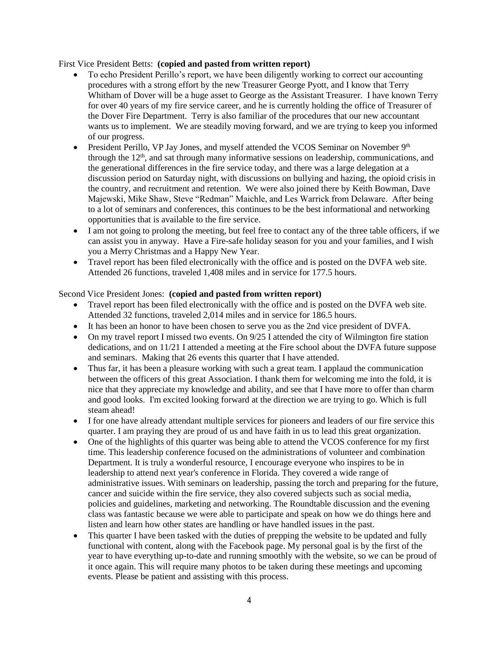#### First Vice President Betts: **(copied and pasted from written report)**

- To echo President Perillo's report, we have been diligently working to correct our accounting procedures with a strong effort by the new Treasurer George Pyott, and I know that Terry Whitham of Dover will be a huge asset to George as the Assistant Treasurer. I have known Terry for over 40 years of my fire service career, and he is currently holding the office of Treasurer of the Dover Fire Department. Terry is also familiar of the procedures that our new accountant wants us to implement. We are steadily moving forward, and we are trying to keep you informed of our progress.
- President Perillo, VP Jay Jones, and myself attended the VCOS Seminar on November 9<sup>th</sup> through the  $12<sup>th</sup>$ , and sat through many informative sessions on leadership, communications, and the generational differences in the fire service today, and there was a large delegation at a discussion period on Saturday night, with discussions on bullying and hazing, the opioid crisis in the country, and recruitment and retention. We were also joined there by Keith Bowman, Dave Majewski, Mike Shaw, Steve "Redman" Maichle, and Les Warrick from Delaware. After being to a lot of seminars and conferences, this continues to be the best informational and networking opportunities that is available to the fire service.
- I am not going to prolong the meeting, but feel free to contact any of the three table officers, if we can assist you in anyway. Have a Fire-safe holiday season for you and your families, and I wish you a Merry Christmas and a Happy New Year.
- Travel report has been filed electronically with the office and is posted on the DVFA web site. Attended 26 functions, traveled 1,408 miles and in service for 177.5 hours.

#### Second Vice President Jones: **(copied and pasted from written report)**

- Travel report has been filed electronically with the office and is posted on the DVFA web site. Attended 32 functions, traveled 2,014 miles and in service for 186.5 hours.
- It has been an honor to have been chosen to serve you as the 2nd vice president of DVFA.
- On my travel report I missed two events. On 9/25 I attended the city of Wilmington fire station dedications, and on 11/21 I attended a meeting at the Fire school about the DVFA future suppose and seminars. Making that 26 events this quarter that I have attended.
- Thus far, it has been a pleasure working with such a great team. I applaud the communication between the officers of this great Association. I thank them for welcoming me into the fold, it is nice that they appreciate my knowledge and ability, and see that I have more to offer than charm and good looks. I'm excited looking forward at the direction we are trying to go. Which is full steam ahead!
- I for one have already attendant multiple services for pioneers and leaders of our fire service this quarter. I am praying they are proud of us and have faith in us to lead this great organization.
- One of the highlights of this quarter was being able to attend the VCOS conference for my first time. This leadership conference focused on the administrations of volunteer and combination Department. It is truly a wonderful resource, I encourage everyone who inspires to be in leadership to attend next year's conference in Florida. They covered a wide range of administrative issues. With seminars on leadership, passing the torch and preparing for the future, cancer and suicide within the fire service, they also covered subjects such as social media, policies and guidelines, marketing and networking. The Roundtable discussion and the evening class was fantastic because we were able to participate and speak on how we do things here and listen and learn how other states are handling or have handled issues in the past.
- This quarter I have been tasked with the duties of prepping the website to be updated and fully functional with content, along with the Facebook page. My personal goal is by the first of the year to have everything up-to-date and running smoothly with the website, so we can be proud of it once again. This will require many photos to be taken during these meetings and upcoming events. Please be patient and assisting with this process.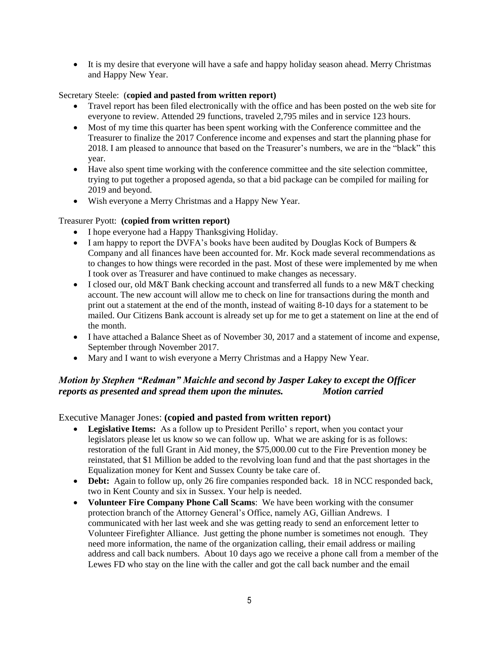• It is my desire that everyone will have a safe and happy holiday season ahead. Merry Christmas and Happy New Year.

#### Secretary Steele: (**copied and pasted from written report)**

- Travel report has been filed electronically with the office and has been posted on the web site for everyone to review. Attended 29 functions, traveled 2,795 miles and in service 123 hours.
- Most of my time this quarter has been spent working with the Conference committee and the Treasurer to finalize the 2017 Conference income and expenses and start the planning phase for 2018. I am pleased to announce that based on the Treasurer's numbers, we are in the "black" this year.
- Have also spent time working with the conference committee and the site selection committee, trying to put together a proposed agenda, so that a bid package can be compiled for mailing for 2019 and beyond.
- Wish everyone a Merry Christmas and a Happy New Year.

#### Treasurer Pyott: **(copied from written report)**

- I hope everyone had a Happy Thanksgiving Holiday.
- I am happy to report the DVFA's books have been audited by Douglas Kock of Bumpers  $\&$ Company and all finances have been accounted for. Mr. Kock made several recommendations as to changes to how things were recorded in the past. Most of these were implemented by me when I took over as Treasurer and have continued to make changes as necessary.
- I closed our, old M&T Bank checking account and transferred all funds to a new M&T checking account. The new account will allow me to check on line for transactions during the month and print out a statement at the end of the month, instead of waiting 8-10 days for a statement to be mailed. Our Citizens Bank account is already set up for me to get a statement on line at the end of the month.
- I have attached a Balance Sheet as of November 30, 2017 and a statement of income and expense, September through November 2017.
- Mary and I want to wish everyone a Merry Christmas and a Happy New Year.

## *Motion by Stephen "Redman" Maichle and second by Jasper Lakey to except the Officer reports as presented and spread them upon the minutes. Motion carried*

Executive Manager Jones: **(copied and pasted from written report)**

- **Legislative Items:** As a follow up to President Perillo' s report, when you contact your legislators please let us know so we can follow up. What we are asking for is as follows: restoration of the full Grant in Aid money, the \$75,000.00 cut to the Fire Prevention money be reinstated, that \$1 Million be added to the revolving loan fund and that the past shortages in the Equalization money for Kent and Sussex County be take care of.
- **Debt:** Again to follow up, only 26 fire companies responded back. 18 in NCC responded back, two in Kent County and six in Sussex. Your help is needed.
- **Volunteer Fire Company Phone Call Scams**: We have been working with the consumer protection branch of the Attorney General's Office, namely AG, Gillian Andrews. I communicated with her last week and she was getting ready to send an enforcement letter to Volunteer Firefighter Alliance. Just getting the phone number is sometimes not enough. They need more information, the name of the organization calling, their email address or mailing address and call back numbers. About 10 days ago we receive a phone call from a member of the Lewes FD who stay on the line with the caller and got the call back number and the email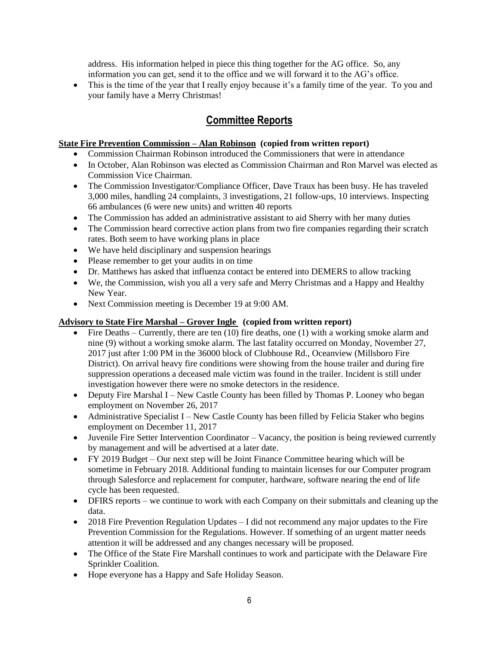address. His information helped in piece this thing together for the AG office. So, any information you can get, send it to the office and we will forward it to the AG's office.

• This is the time of the year that I really enjoy because it's a family time of the year. To you and your family have a Merry Christmas!

## **Committee Reports**

#### **State Fire Prevention Commission – Alan Robinson (copied from written report)**

- Commission Chairman Robinson introduced the Commissioners that were in attendance
- In October, Alan Robinson was elected as Commission Chairman and Ron Marvel was elected as Commission Vice Chairman.
- The Commission Investigator/Compliance Officer, Dave Traux has been busy. He has traveled 3,000 miles, handling 24 complaints, 3 investigations, 21 follow-ups, 10 interviews. Inspecting 66 ambulances (6 were new units) and written 40 reports
- The Commission has added an administrative assistant to aid Sherry with her many duties
- The Commission heard corrective action plans from two fire companies regarding their scratch rates. Both seem to have working plans in place
- We have held disciplinary and suspension hearings
- Please remember to get your audits in on time
- Dr. Matthews has asked that influenza contact be entered into DEMERS to allow tracking
- We, the Commission, wish you all a very safe and Merry Christmas and a Happy and Healthy New Year.
- Next Commission meeting is December 19 at 9:00 AM.

#### **Advisory to State Fire Marshal – Grover Ingle (copied from written report)**

- $\bullet$  Fire Deaths Currently, there are ten (10) fire deaths, one (1) with a working smoke alarm and nine (9) without a working smoke alarm. The last fatality occurred on Monday, November 27, 2017 just after 1:00 PM in the 36000 block of Clubhouse Rd., Oceanview (Millsboro Fire District). On arrival heavy fire conditions were showing from the house trailer and during fire suppression operations a deceased male victim was found in the trailer. Incident is still under investigation however there were no smoke detectors in the residence.
- Deputy Fire Marshal I New Castle County has been filled by Thomas P. Looney who began employment on November 26, 2017
- Administrative Specialist I New Castle County has been filled by Felicia Staker who begins employment on December 11, 2017
- Juvenile Fire Setter Intervention Coordinator Vacancy, the position is being reviewed currently by management and will be advertised at a later date.
- FY 2019 Budget Our next step will be Joint Finance Committee hearing which will be sometime in February 2018. Additional funding to maintain licenses for our Computer program through Salesforce and replacement for computer, hardware, software nearing the end of life cycle has been requested.
- DFIRS reports we continue to work with each Company on their submittals and cleaning up the data.
- 2018 Fire Prevention Regulation Updates I did not recommend any major updates to the Fire Prevention Commission for the Regulations. However. If something of an urgent matter needs attention it will be addressed and any changes necessary will be proposed.
- The Office of the State Fire Marshall continues to work and participate with the Delaware Fire Sprinkler Coalition.
- Hope everyone has a Happy and Safe Holiday Season.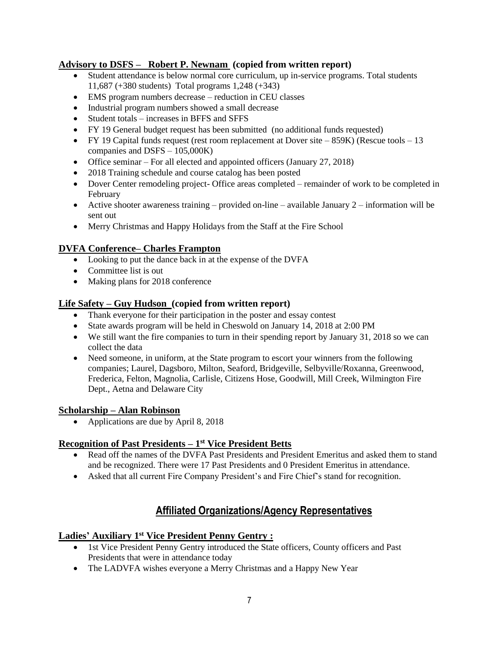#### **Advisory to DSFS – Robert P. Newnam (copied from written report)**

- Student attendance is below normal core curriculum, up in-service programs. Total students 11,687 (+380 students) Total programs 1,248 (+343)
- EMS program numbers decrease reduction in CEU classes
- Industrial program numbers showed a small decrease
- Student totals increases in BFFS and SFFS
- FY 19 General budget request has been submitted (no additional funds requested)
- FY 19 Capital funds request (rest room replacement at Dover site  $-859K$ ) (Rescue tools  $-13$ companies and DSFS – 105,000K)
- Office seminar For all elected and appointed officers (January 27, 2018)
- 2018 Training schedule and course catalog has been posted
- Dover Center remodeling project- Office areas completed remainder of work to be completed in February
- Active shooter awareness training provided on-line available January  $2$  information will be sent out
- Merry Christmas and Happy Holidays from the Staff at the Fire School

## **DVFA Conference– Charles Frampton**

- Looking to put the dance back in at the expense of the DVFA
- Committee list is out
- Making plans for 2018 conference

#### **Life Safety – Guy Hudson (copied from written report)**

- Thank everyone for their participation in the poster and essay contest
- State awards program will be held in Cheswold on January 14, 2018 at 2:00 PM
- We still want the fire companies to turn in their spending report by January 31, 2018 so we can collect the data
- Need someone, in uniform, at the State program to escort your winners from the following companies; Laurel, Dagsboro, Milton, Seaford, Bridgeville, Selbyville/Roxanna, Greenwood, Frederica, Felton, Magnolia, Carlisle, Citizens Hose, Goodwill, Mill Creek, Wilmington Fire Dept., Aetna and Delaware City

#### **Scholarship – Alan Robinson**

• Applications are due by April 8, 2018

#### **Recognition of Past Presidents – 1 st Vice President Betts**

- Read off the names of the DVFA Past Presidents and President Emeritus and asked them to stand and be recognized. There were 17 Past Presidents and 0 President Emeritus in attendance.
- Asked that all current Fire Company President's and Fire Chief's stand for recognition.

## **Affiliated Organizations/Agency Representatives**

#### **Ladies' Auxiliary 1 st Vice President Penny Gentry :**

- 1st Vice President Penny Gentry introduced the State officers, County officers and Past Presidents that were in attendance today
- The LADVFA wishes everyone a Merry Christmas and a Happy New Year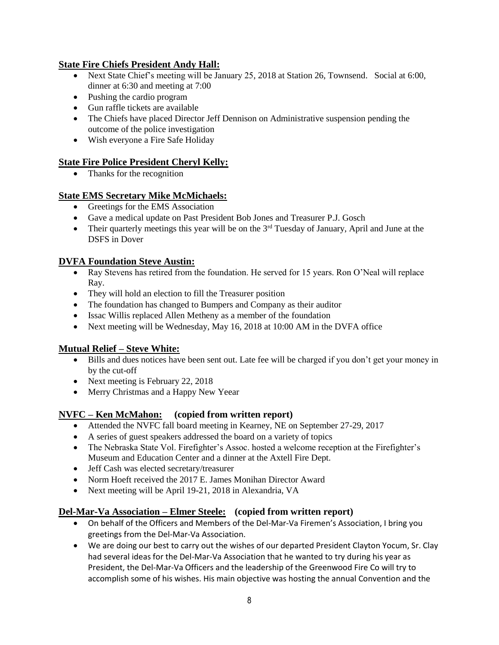## **State Fire Chiefs President Andy Hall:**

- Next State Chief's meeting will be January 25, 2018 at Station 26, Townsend. Social at 6:00, dinner at 6:30 and meeting at 7:00
- Pushing the cardio program
- Gun raffle tickets are available
- The Chiefs have placed Director Jeff Dennison on Administrative suspension pending the outcome of the police investigation
- Wish everyone a Fire Safe Holiday

## **State Fire Police President Cheryl Kelly:**

• Thanks for the recognition

## **State EMS Secretary Mike McMichaels:**

- Greetings for the EMS Association
- Gave a medical update on Past President Bob Jones and Treasurer P.J. Gosch
- Their quarterly meetings this year will be on the  $3<sup>rd</sup>$  Tuesday of January, April and June at the DSFS in Dover

## **DVFA Foundation Steve Austin:**

- Ray Stevens has retired from the foundation. He served for 15 years. Ron O'Neal will replace Ray.
- They will hold an election to fill the Treasurer position
- The foundation has changed to Bumpers and Company as their auditor
- Issac Willis replaced Allen Metheny as a member of the foundation
- Next meeting will be Wednesday, May 16, 2018 at 10:00 AM in the DVFA office

## **Mutual Relief – Steve White:**

- Bills and dues notices have been sent out. Late fee will be charged if you don't get your money in by the cut-off
- Next meeting is February 22, 2018
- Merry Christmas and a Happy New Yeear

## **NVFC – Ken McMahon: (copied from written report)**

- Attended the NVFC fall board meeting in Kearney, NE on September 27-29, 2017
- A series of guest speakers addressed the board on a variety of topics
- The Nebraska State Vol. Firefighter's Assoc. hosted a welcome reception at the Firefighter's Museum and Education Center and a dinner at the Axtell Fire Dept.
- Jeff Cash was elected secretary/treasurer
- Norm Hoeft received the 2017 E. James Monihan Director Award
- Next meeting will be April 19-21, 2018 in Alexandria, VA

## **Del-Mar-Va Association – Elmer Steele: (copied from written report)**

- On behalf of the Officers and Members of the Del-Mar-Va Firemen's Association, I bring you greetings from the Del-Mar-Va Association.
- We are doing our best to carry out the wishes of our departed President Clayton Yocum, Sr. Clay had several ideas for the Del-Mar-Va Association that he wanted to try during his year as President, the Del-Mar-Va Officers and the leadership of the Greenwood Fire Co will try to accomplish some of his wishes. His main objective was hosting the annual Convention and the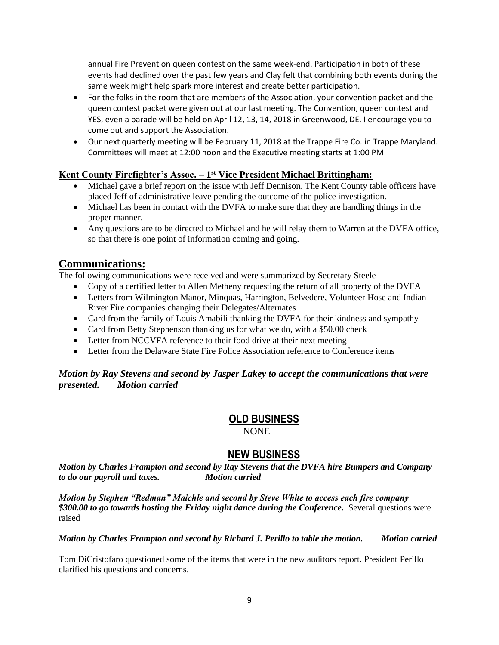annual Fire Prevention queen contest on the same week-end. Participation in both of these events had declined over the past few years and Clay felt that combining both events during the same week might help spark more interest and create better participation.

- For the folks in the room that are members of the Association, your convention packet and the queen contest packet were given out at our last meeting. The Convention, queen contest and YES, even a parade will be held on April 12, 13, 14, 2018 in Greenwood, DE. I encourage you to come out and support the Association.
- Our next quarterly meeting will be February 11, 2018 at the Trappe Fire Co. in Trappe Maryland. Committees will meet at 12:00 noon and the Executive meeting starts at 1:00 PM

#### **Kent County Firefighter's Assoc. – 1 st Vice President Michael Brittingham:**

- Michael gave a brief report on the issue with Jeff Dennison. The Kent County table officers have placed Jeff of administrative leave pending the outcome of the police investigation.
- Michael has been in contact with the DVFA to make sure that they are handling things in the proper manner.
- Any questions are to be directed to Michael and he will relay them to Warren at the DVFA office, so that there is one point of information coming and going.

## **Communications:**

The following communications were received and were summarized by Secretary Steele

- Copy of a certified letter to Allen Metheny requesting the return of all property of the DVFA
- Letters from Wilmington Manor, Minquas, Harrington, Belvedere, Volunteer Hose and Indian River Fire companies changing their Delegates/Alternates
- Card from the family of Louis Amabili thanking the DVFA for their kindness and sympathy
- Card from Betty Stephenson thanking us for what we do, with a \$50.00 check
- Letter from NCCVFA reference to their food drive at their next meeting
- Letter from the Delaware State Fire Police Association reference to Conference items

#### *Motion by Ray Stevens and second by Jasper Lakey to accept the communications that were presented. Motion carried*

## **OLD BUSINESS**

NONE

## **NEW BUSINESS**

*Motion by Charles Frampton and second by Ray Stevens that the DVFA hire Bumpers and Company to do our payroll and taxes. Motion carried*

*Motion by Stephen "Redman" Maichle and second by Steve White to access each fire company \$300.00 to go towards hosting the Friday night dance during the Conference.* Several questions were raised

*Motion by Charles Frampton and second by Richard J. Perillo to table the motion. Motion carried*

Tom DiCristofaro questioned some of the items that were in the new auditors report. President Perillo clarified his questions and concerns.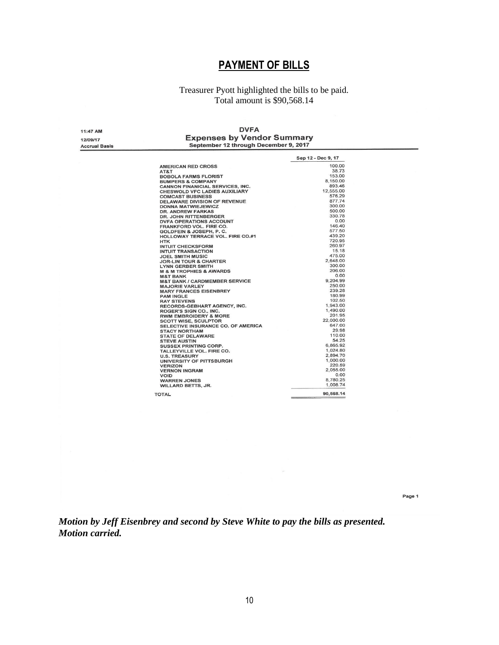# **PAYMENT OF BILLS**

#### Treasurer Pyott highlighted the bills to be paid. Total amount is \$90,568.14

| 11:47 AM             | <b>DVFA</b><br><b>Expenses by Vendor Summary</b><br>September 12 through December 9, 2017 |                    |  |
|----------------------|-------------------------------------------------------------------------------------------|--------------------|--|
|                      |                                                                                           |                    |  |
| 12/09/17             |                                                                                           |                    |  |
| <b>Accrual Basis</b> |                                                                                           |                    |  |
|                      |                                                                                           | Sep 12 - Dec 9, 17 |  |
|                      |                                                                                           |                    |  |
|                      | <b>AMERICAN RED CROSS</b>                                                                 | 100.00             |  |
|                      | AT&T                                                                                      | 38.73              |  |
|                      | <b>BOBOLA FARMS FLORIST</b>                                                               | 153.00             |  |
|                      | <b>BUMPERS &amp; COMPANY</b>                                                              | 8,150.00           |  |
|                      | <b>CANNON FINANICIAL SERVICES, INC.</b>                                                   | 893.46             |  |
|                      | <b>CHESWOLD VFC LADIES AUXILIARY</b>                                                      | 12,555.00          |  |
|                      | <b>COMCAST BUSINESS</b>                                                                   | 576.29             |  |
|                      | <b>DELAWARE DIVISION OF REVENUE</b>                                                       | 877.74             |  |
|                      | <b>DONNA MATWIEJEWICZ</b>                                                                 | 300.00             |  |
|                      | <b>DR. ANDREW FARKAS</b>                                                                  | 500.00             |  |
|                      | <b>DR. JOHN RITTENBERGER</b>                                                              | 330.78             |  |
|                      | <b>DVFA OPERATIONS ACCOUNT</b>                                                            | 0.00               |  |
|                      | <b>FRANKFORD VOL. FIRE CO.</b>                                                            | 146.40             |  |
|                      | <b>GOLDFEIN &amp; JOSEPH, P. C.</b>                                                       | 577.50             |  |
|                      | HOLLOWAY TERRACE VOL. FIRE CO.#1                                                          | 439.20             |  |
|                      | <b>HTK</b>                                                                                | 720.95             |  |
|                      | <b>INTUIT CHECKSFORM</b>                                                                  | 260.97             |  |
|                      | <b>INTUIT TRANSACTION</b>                                                                 | 15.18              |  |
|                      | <b>JOEL SMITH MUSIC</b>                                                                   | 475.00             |  |
|                      | <b>JOR-LIN TOUR &amp; CHARTER</b>                                                         | 2,648.00           |  |
|                      | <b>LYNN GERBER SMITH</b>                                                                  | 300.00             |  |
|                      | <b>M &amp; M TROPHIES &amp; AWARDS</b>                                                    | 206.00             |  |
|                      | <b>M&amp;T BANK</b>                                                                       | 0.00               |  |
|                      | <b>M&amp;T BANK / CARDMEMBER SERVICE</b>                                                  | 9.204.99           |  |
|                      | <b>MAJORIE VARLEY</b>                                                                     | 250.00             |  |
|                      | <b>MARY FRANCES EISENBREY</b>                                                             | 239.28             |  |
|                      | <b>PAM INGLE</b>                                                                          | 180.99             |  |
|                      | <b>RAY STEVENS</b>                                                                        | 102.50             |  |
|                      | RECORDS-GEBHART AGENCY, INC.                                                              | 1,943.00           |  |
|                      | ROGER'S SIGN CO., INC.                                                                    | 1,490.00           |  |
|                      | <b>RWM EMBROIDERY &amp; MORE</b>                                                          | 201.95             |  |
|                      | <b>SCOTT WISE, SCULPTOR</b>                                                               | 22,000.00          |  |
|                      | <b>SELECTIVE INSURANCE CO. OF AMERICA</b>                                                 | 647.00             |  |
|                      | <b>STACY NORTHAM</b>                                                                      | 29.98              |  |
|                      | <b>STATE OF DELAWARE</b>                                                                  | 110.00             |  |
|                      | <b>STEVE AUSTIN</b>                                                                       | 54.25              |  |
|                      | <b>SUSSEX PRINTING CORP.</b>                                                              | 6,865.92           |  |
|                      | TALLEYVILLE VOL. FIRE CO.                                                                 | 1,024.80           |  |
|                      | <b>U.S. TREASURY</b>                                                                      | 2.894.70           |  |
|                      | UNIVERSITY OF PITTSBURGH                                                                  | 1,000.00           |  |
|                      | <b>VERIZON</b>                                                                            | 220.59             |  |
|                      | <b>VERNON INGRAM</b>                                                                      | 2,055.00           |  |
|                      | <b>VOID</b>                                                                               | 0.00               |  |
|                      | <b>WARREN JONES</b>                                                                       | 8,780.25           |  |
|                      | <b>WILLARD BETTS, JR.</b>                                                                 | 1,008.74           |  |
|                      |                                                                                           |                    |  |

Page 1

90,568.14

*Motion by Jeff Eisenbrey and second by Steve White to pay the bills as presented. Motion carried.* 

**TOTAL**